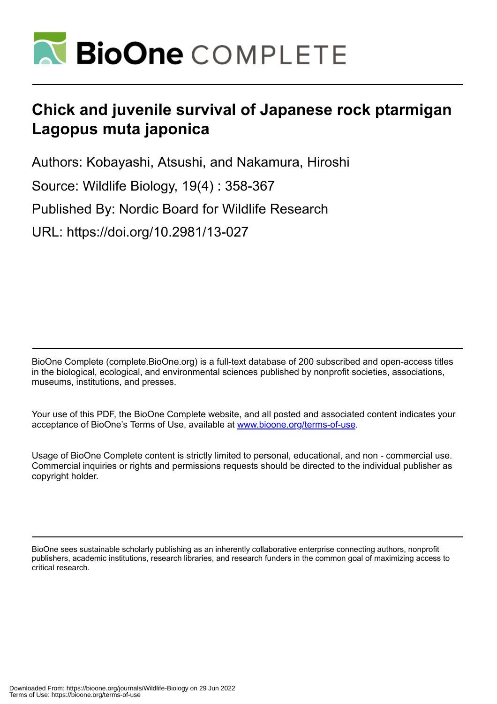

# **Chick and juvenile survival of Japanese rock ptarmigan Lagopus muta japonica**

Authors: Kobayashi, Atsushi, and Nakamura, Hiroshi

Source: Wildlife Biology, 19(4) : 358-367

Published By: Nordic Board for Wildlife Research

URL: https://doi.org/10.2981/13-027

BioOne Complete (complete.BioOne.org) is a full-text database of 200 subscribed and open-access titles in the biological, ecological, and environmental sciences published by nonprofit societies, associations, museums, institutions, and presses.

Your use of this PDF, the BioOne Complete website, and all posted and associated content indicates your acceptance of BioOne's Terms of Use, available at www.bioone.org/terms-of-use.

Usage of BioOne Complete content is strictly limited to personal, educational, and non - commercial use. Commercial inquiries or rights and permissions requests should be directed to the individual publisher as copyright holder.

BioOne sees sustainable scholarly publishing as an inherently collaborative enterprise connecting authors, nonprofit publishers, academic institutions, research libraries, and research funders in the common goal of maximizing access to critical research.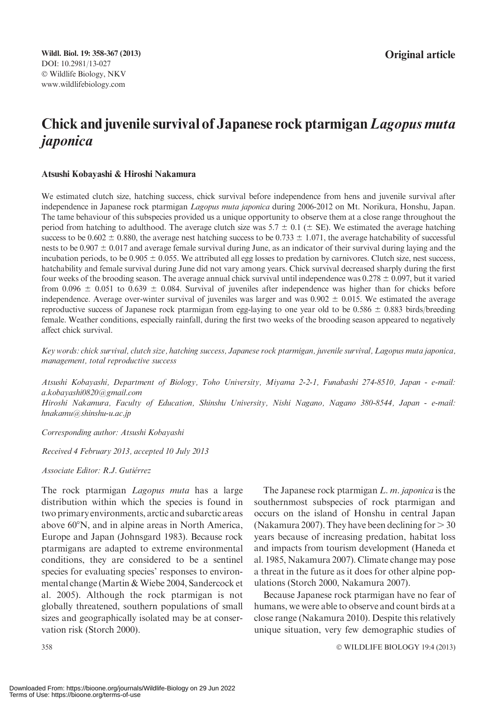## Chick and juvenile survival of Japanese rock ptarmigan Lagopus muta japonica

#### Atsushi Kobayashi & Hiroshi Nakamura

We estimated clutch size, hatching success, chick survival before independence from hens and juvenile survival after independence in Japanese rock ptarmigan Lagopus muta japonica during 2006-2012 on Mt. Norikura, Honshu, Japan. The tame behaviour of this subspecies provided us a unique opportunity to observe them at a close range throughout the period from hatching to adulthood. The average clutch size was 5.7  $\pm$  0.1 ( $\pm$  SE). We estimated the average hatching success to be  $0.602 \pm 0.880$ , the average nest hatching success to be  $0.733 \pm 1.071$ , the average hatchability of successful nests to be  $0.907 \pm 0.017$  and average female survival during June, as an indicator of their survival during laying and the incubation periods, to be  $0.905 \pm 0.055$ . We attributed all egg losses to predation by carnivores. Clutch size, nest success, hatchability and female survival during June did not vary among years. Chick survival decreased sharply during the first four weeks of the brooding season. The average annual chick survival until independence was  $0.278 \pm 0.097$ , but it varied from 0.096  $\pm$  0.051 to 0.639  $\pm$  0.084. Survival of juveniles after independence was higher than for chicks before independence. Average over-winter survival of juveniles was larger and was  $0.902 \pm 0.015$ . We estimated the average reproductive success of Japanese rock ptarmigan from egg-laying to one year old to be  $0.586 \pm 0.883$  birds/breeding female. Weather conditions, especially rainfall, during the first two weeks of the brooding season appeared to negatively affect chick survival.

Key words: chick survival, clutch size, hatching success, Japanese rock ptarmigan, juvenile survival, Lagopus muta japonica, management, total reproductive success

Atsushi Kobayashi, Department of Biology, Toho University, Miyama 2-2-1, Funabashi 274-8510, Japan - e-mail: a.kobayashi0820@gmail.com Hiroshi Nakamura, Faculty of Education, Shinshu University, Nishi Nagano, Nagano 380-8544, Japan - e-mail: hnakamu@shinshu-u.ac.jp

Corresponding author: Atsushi Kobayashi

Received 4 February 2013, accepted 10 July 2013

#### Associate Editor: R.J. Gutiérrez

The rock ptarmigan *Lagopus muta* has a large distribution within which the species is found in two primary environments, arctic and subarctic areas above  $60^{\circ}$ N, and in alpine areas in North America, Europe and Japan (Johnsgard 1983). Because rock ptarmigans are adapted to extreme environmental conditions, they are considered to be a sentinel species for evaluating species' responses to environmental change (Martin & Wiebe 2004, Sandercock et al. 2005). Although the rock ptarmigan is not globally threatened, southern populations of small sizes and geographically isolated may be at conservation risk (Storch 2000).

The Japanese rock ptarmigan L. m. japonica is the southernmost subspecies of rock ptarmigan and occurs on the island of Honshu in central Japan (Nakamura 2007). They have been declining for  $> 30$ years because of increasing predation, habitat loss and impacts from tourism development (Haneda et al. 1985, Nakamura 2007). Climate change may pose a threat in the future as it does for other alpine populations (Storch 2000, Nakamura 2007).

Because Japanese rock ptarmigan have no fear of humans, we were able to observe and count birds at a close range (Nakamura 2010). Despite this relatively unique situation, very few demographic studies of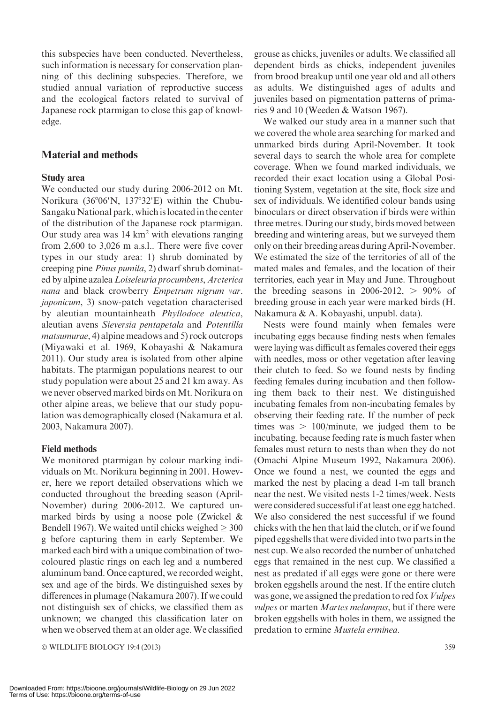this subspecies have been conducted. Nevertheless, such information is necessary for conservation planning of this declining subspecies. Therefore, we studied annual variation of reproductive success and the ecological factors related to survival of Japanese rock ptarmigan to close this gap of knowledge.

#### Material and methods

#### Study area

We conducted our study during 2006-2012 on Mt. Norikura (36°06'N, 137°32'E) within the Chubu-Sangaku National park, which is located in the center of the distribution of the Japanese rock ptarmigan. Our study area was  $14 \text{ km}^2$  with elevations ranging from 2,600 to 3,026 m a.s.l.. There were five cover types in our study area: 1) shrub dominated by creeping pine Pinus pumila, 2) dwarf shrub dominated by alpine azalea Loiseleuria procumbens, Arcterica nana and black crowberry Empetrum nigrum var. japonicum, 3) snow-patch vegetation characterised by aleutian mountainheath Phyllodoce aleutica, aleutian avens Sieversia pentapetala and Potentilla matsumurae, 4) alpine meadows and 5) rock outcrops (Miyawaki et al. 1969, Kobayashi & Nakamura 2011). Our study area is isolated from other alpine habitats. The ptarmigan populations nearest to our study population were about 25 and 21 km away. As we never observed marked birds on Mt. Norikura on other alpine areas, we believe that our study population was demographically closed (Nakamura et al. 2003, Nakamura 2007).

#### Field methods

We monitored ptarmigan by colour marking individuals on Mt. Norikura beginning in 2001. However, here we report detailed observations which we conducted throughout the breeding season (April-November) during 2006-2012. We captured unmarked birds by using a noose pole (Zwickel & Bendell 1967). We waited until chicks weighed  $\geq 300$ g before capturing them in early September. We marked each bird with a unique combination of twocoloured plastic rings on each leg and a numbered aluminum band. Once captured, we recorded weight, sex and age of the birds. We distinguished sexes by differences in plumage (Nakamura 2007). If we could not distinguish sex of chicks, we classified them as unknown; we changed this classification later on when we observed them at an older age.We classified

© WILDLIFE BIOLOGY 19:4 (2013) 359

grouse as chicks, juveniles or adults. We classified all dependent birds as chicks, independent juveniles from brood breakup until one year old and all others as adults. We distinguished ages of adults and juveniles based on pigmentation patterns of primaries 9 and 10 (Weeden & Watson 1967).

We walked our study area in a manner such that we covered the whole area searching for marked and unmarked birds during April-November. It took several days to search the whole area for complete coverage. When we found marked individuals, we recorded their exact location using a Global Positioning System, vegetation at the site, flock size and sex of individuals. We identified colour bands using binoculars or direct observation if birds were within three metres. During our study, birds moved between breeding and wintering areas, but we surveyed them only on their breeding areas during April-November. We estimated the size of the territories of all of the mated males and females, and the location of their territories, each year in May and June. Throughout the breeding seasons in 2006-2012,  $> 90\%$  of breeding grouse in each year were marked birds (H. Nakamura & A. Kobayashi, unpubl. data).

Nests were found mainly when females were incubating eggs because finding nests when females were laying was difficult as females covered their eggs with needles, moss or other vegetation after leaving their clutch to feed. So we found nests by finding feeding females during incubation and then following them back to their nest. We distinguished incubating females from non-incubating females by observing their feeding rate. If the number of peck times was  $> 100$ /minute, we judged them to be incubating, because feeding rate is much faster when females must return to nests than when they do not (Omachi Alpine Museum 1992, Nakamura 2006). Once we found a nest, we counted the eggs and marked the nest by placing a dead 1-m tall branch near the nest. We visited nests 1-2 times/week. Nests were considered successful if at least one egg hatched. We also considered the nest successful if we found chicks with the hen that laid the clutch, or if we found piped eggshells that were divided into two parts in the nest cup. We also recorded the number of unhatched eggs that remained in the nest cup. We classified a nest as predated if all eggs were gone or there were broken eggshells around the nest. If the entire clutch was gone, we assigned the predation to red fox Vulpes vulpes or marten *Martes melampus*, but if there were broken eggshells with holes in them, we assigned the predation to ermine Mustela erminea.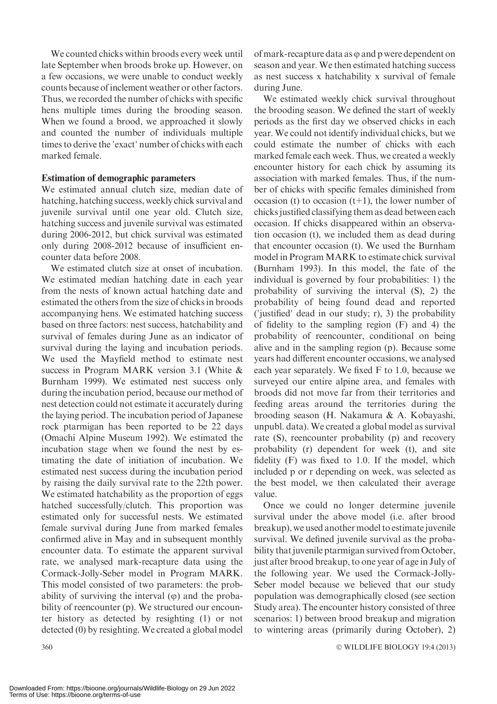We counted chicks within broods every week until late September when broods broke up. However, on a few occasions, we were unable to conduct weekly counts because of inclement weather or other factors. Thus, we recorded the number of chicks with specific hens multiple times during the brooding season. When we found a brood, we approached it slowly and counted the number of individuals multiple times to derive the 'exact' number of chicks with each marked female.

#### Estimation of demographic parameters

We estimated annual clutch size, median date of hatching, hatching success, weekly chick survival and juvenile survival until one year old. Clutch size, hatching success and juvenile survival was estimated during 2006-2012, but chick survival was estimated only during 2008-2012 because of insufficient encounter data before 2008.

We estimated clutch size at onset of incubation. We estimated median hatching date in each year from the nests of known actual hatching date and estimated the others from the size of chicks in broods accompanying hens. We estimated hatching success based on three factors: nest success, hatchability and survival of females during June as an indicator of survival during the laying and incubation periods. We used the Mayfield method to estimate nest success in Program MARK version 3.1 (White & Burnham 1999). We estimated nest success only during the incubation period, because our method of nest detection could not estimate it accurately during the laying period. The incubation period of Japanese rock ptarmigan has been reported to be 22 days (Omachi Alpine Museum 1992). We estimated the incubation stage when we found the nest by estimating the date of initiation of incubation. We estimated nest success during the incubation period by raising the daily survival rate to the 22th power. We estimated hatchability as the proportion of eggs hatched successfully/clutch. This proportion was estimated only for successful nests. We estimated female survival during June from marked females confirmed alive in May and in subsequent monthly encounter data. To estimate the apparent survival rate, we analysed mark-recapture data using the Cormack-Jolly-Seber model in Program MARK. This model consisted of two parameters: the probability of surviving the interval  $(\varphi)$  and the probability of reencounter (p). We structured our encounter history as detected by resighting (1) or not detected (0) by resighting. We created a global model

of mark-recapture data as  $\varphi$  and p were dependent on season and year. We then estimated hatching success as nest success x hatchability x survival of female during June.

We estimated weekly chick survival throughout the brooding season. We defined the start of weekly periods as the first day we observed chicks in each year. We could not identify individual chicks, but we could estimate the number of chicks with each marked female each week. Thus, we created a weekly encounter history for each chick by assuming its association with marked females. Thus, if the number of chicks with specific females diminished from occasion (t) to occasion  $(t+1)$ , the lower number of chicks justified classifying them as dead between each occasion. If chicks disappeared within an observation occasion (t), we included them as dead during that encounter occasion (t). We used the Burnham model in Program MARK to estimate chick survival (Burnham 1993). In this model, the fate of the individual is governed by four probabilities: 1) the probability of surviving the interval (S), 2) the probability of being found dead and reported ('justified' dead in our study; r), 3) the probability of fidelity to the sampling region (F) and 4) the probability of reencounter, conditional on being alive and in the sampling region (p). Because some years had different encounter occasions, we analysed each year separately. We fixed F to 1.0, because we surveyed our entire alpine area, and females with broods did not move far from their territories and feeding areas around the territories during the brooding season (H. Nakamura & A. Kobayashi, unpubl. data). We created a global model as survival rate (S), reencounter probability (p) and recovery probability (r) dependent for week (t), and site fidelity (F) was fixed to 1.0. If the model, which included p or r depending on week, was selected as the best model, we then calculated their average value.

Once we could no longer determine juvenile survival under the above model (i.e. after brood breakup), we used another model to estimate juvenile survival. We defined juvenile survival as the probability that juvenile ptarmigan survived from October, just after brood breakup, to one year of age in July of the following year. We used the Cormack-Jolly-Seber model because we believed that our study population was demographically closed (see section Study area). The encounter history consisted of three scenarios: 1) between brood breakup and migration to wintering areas (primarily during October), 2)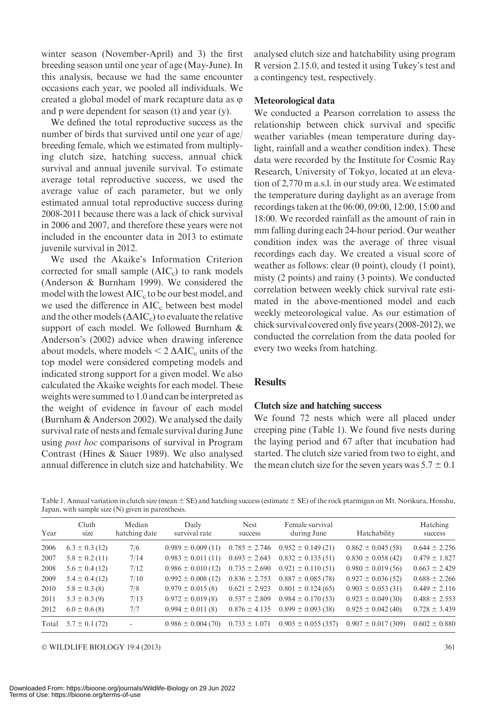winter season (November-April) and 3) the first breeding season until one year of age (May-June). In this analysis, because we had the same encounter occasions each year, we pooled all individuals. We created a global model of mark recapture data as  $\varphi$ and p were dependent for season (t) and year (y).

We defined the total reproductive success as the number of birds that survived until one year of age/ breeding female, which we estimated from multiplying clutch size, hatching success, annual chick survival and annual juvenile survival. To estimate average total reproductive success, we used the average value of each parameter, but we only estimated annual total reproductive success during 2008-2011 because there was a lack of chick survival in 2006 and 2007, and therefore these years were not included in the encounter data in 2013 to estimate juvenile survival in 2012.

We used the Akaike's Information Criterion corrected for small sample  $(AIC<sub>c</sub>)$  to rank models (Anderson & Burnham 1999). We considered the model with the lowest  $AIC<sub>c</sub>$  to be our best model, and we used the difference in  $AIC_c$  between best model and the other models  $(\Delta AIC_c)$  to evaluate the relative support of each model. We followed Burnham & Anderson's (2002) advice when drawing inference about models, where models  $\leq 2 \triangle AIC_c$  units of the top model were considered competing models and indicated strong support for a given model. We also calculated the Akaike weights for each model. These weights were summed to 1.0 and can be interpreted as the weight of evidence in favour of each model (Burnham & Anderson 2002). We analysed the daily survival rate of nests and female survival during June using *post hoc* comparisons of survival in Program Contrast (Hines & Sauer 1989). We also analysed annual difference in clutch size and hatchability. We analysed clutch size and hatchability using program R version 2.15.0, and tested it using Tukey's test and a contingency test, respectively.

#### Meteorological data

We conducted a Pearson correlation to assess the relationship between chick survival and specific weather variables (mean temperature during daylight, rainfall and a weather condition index). These data were recorded by the Institute for Cosmic Ray Research, University of Tokyo, located at an elevation of 2,770 m a.s.l. in our study area. We estimated the temperature during daylight as an average from recordings taken at the 06:00, 09:00, 12:00, 15:00 and 18:00. We recorded rainfall as the amount of rain in mm falling during each 24-hour period. Our weather condition index was the average of three visual recordings each day. We created a visual score of weather as follows: clear (0 point), cloudy (1 point), misty (2 points) and rainy (3 points). We conducted correlation between weekly chick survival rate estimated in the above-mentioned model and each weekly meteorological value. As our estimation of chick survival covered only five years (2008-2012), we conducted the correlation from the data pooled for every two weeks from hatching.

#### **Results**

#### Clutch size and hatching success

We found 72 nests which were all placed under creeping pine (Table 1). We found five nests during the laying period and 67 after that incubation had started. The clutch size varied from two to eight, and the mean clutch size for the seven years was  $5.7 \pm 0.1$ 

Table 1. Annual variation in clutch size (mean  $\pm$  SE) and hatching success (estimate  $\pm$  SE) of the rock ptarmigan on Mt. Norikura, Honshu, Japan, with sample size (N) given in parenthesis.

| Year  | Cluth<br>size      | Median<br>hatching date  | Daily<br>survival rate | <b>Nest</b><br>success | Female survival<br>during June           | Hatchability           | Hatching<br>success |
|-------|--------------------|--------------------------|------------------------|------------------------|------------------------------------------|------------------------|---------------------|
| 2006  | $6.3 \pm 0.3$ (12) | 7/6                      | $0.989 \pm 0.009(11)$  |                        | $0.785 \pm 2.746$ $0.952 \pm 0.149$ (21) | $0.862 \pm 0.045(58)$  | $0.644 \pm 2.256$   |
| 2007  | $5.8 \pm 0.2$ (11) | 7/14                     | $0.983 \pm 0.011(11)$  | $0.693 \pm 2.643$      | $0.832 \pm 0.135(51)$                    | $0.830 \pm 0.058(42)$  | $0.479 \pm 1.827$   |
| 2008  | $5.6 \pm 0.4$ (12) | 7/12                     | $0.986 \pm 0.010(12)$  | $0.735 \pm 2.690$      | $0.921 \pm 0.110(51)$                    | $0.980 \pm 0.019(56)$  | $0.663 \pm 2.429$   |
| 2009  | $5.4 \pm 0.4$ (12) | 7/10                     | $0.992 \pm 0.008(12)$  | $0.836 \pm 2.753$      | $0.887 \pm 0.085(78)$                    | $0.927 \pm 0.036(52)$  | $0.688 \pm 2.266$   |
| 2010  | $5.8 \pm 0.3$ (8)  | 7/8                      | $0.979 \pm 0.015(8)$   | $0.621 \pm 2.923$      | $0.801 \pm 0.124(65)$                    | $0.903 \pm 0.053(31)$  | $0.449 \pm 2.116$   |
| 2011  | $5.3 \pm 0.3$ (9)  | 7/13                     | $0.972 \pm 0.019(8)$   | $0.537 \pm 2.809$      | $0.984 \pm 0.170(53)$                    | $0.923 \pm 0.049(30)$  | $0.488 \pm 2.553$   |
| 2012  | $6.0 \pm 0.6$ (8)  | 7/7                      | $0.994 \pm 0.011(8)$   | $0.876 \pm 4.135$      | $0.899 \pm 0.093(38)$                    | $0.925 \pm 0.042(40)$  | $0.728 \pm 3.439$   |
| Total | $5.7 \pm 0.1$ (72) | $\overline{\phantom{a}}$ | $0.986 \pm 0.004(70)$  | $0.733 \pm 1.071$      | $0.905 \pm 0.055(357)$                   | $0.907 \pm 0.017(309)$ | $0.602 \pm 0.880$   |

© WILDLIFE BIOLOGY 19:4 (2013) 361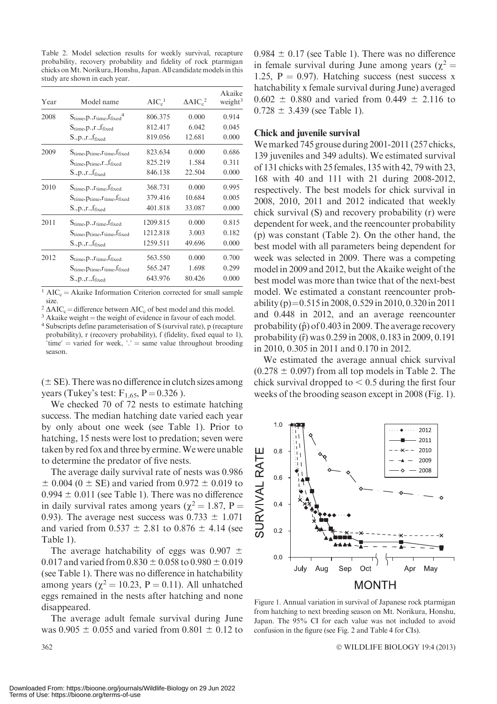Table 2. Model selection results for weekly survival, recapture probability, recovery probability and fidelity of rock ptarmigan chicks onMt. Norikura, Honshu, Japan. All candidate models in this study are shown in each year.

| Year | Model name                                                      | AIC <sub>c</sub> <sup>1</sup> | $\Delta AIC_c^2$ | Akaike<br>weight <sup>3</sup> |
|------|-----------------------------------------------------------------|-------------------------------|------------------|-------------------------------|
| 2008 | $S_{time}$ , $p_{\text{.},r_{time}}$ , $f_{fixed}$ <sup>4</sup> | 806.375                       | 0.000            | 0.914                         |
|      | $S_{time}$ , $p_{\cdot}$ , $r_{\cdot}$ , $f_{fixed}$            | 812.417                       | 6.042            | 0.045                         |
|      | $S., p., r., f_{fixed}$                                         | 819.056                       | 12.681           | 0.000                         |
| 2009 | $S_{time}, p_{time}, r_{time}, f_{fixed}$                       | 823.634                       | 0.000            | 0.686                         |
|      | $S_{time}, p_{time}, r, f_{fixed}$                              | 825.219                       | 1.584            | 0.311                         |
|      | $S., p., r., f_{fixed}$                                         | 846.138                       | 22.504           | 0.000                         |
| 2010 | $S_{time}$ , $p_{\cdot}$ , $r_{time}$ , $f_{fixed}$             | 368.731                       | 0.000            | 0.995                         |
|      | $S_{time}, p_{time}, r_{time}, f_{fixed}$                       | 379.416                       | 10.684           | 0.005                         |
|      | $S., p., r., f_{fixed}$                                         | 401.818                       | 33.087           | 0.000                         |
| 2011 | $S_{time}$ , $p_{\cdot}, r_{time}$ , $f_{fixed}$                | 1209.815                      | 0.000            | 0.815                         |
|      | $S_{time}, p_{time}, r_{time}, f_{fixed}$                       | 1212.818                      | 3.003            | 0.182                         |
|      | $S_{.,p.,r.,f_{fixed}}$                                         | 1259.511                      | 49.696           | 0.000                         |
| 2012 | $S_{time}$ , $p$ ., $r_{time}$ , $f_{fixed}$                    | 563.550                       | 0.000            | 0.700                         |
|      | $S_{time}, p_{time}, r_{time}, f_{fixed}$                       | 565.247                       | 1.698            | 0.299                         |
|      | $S_{.,p.,r.,f_{fixed}}$                                         | 643.976                       | 80.426           | 0.000                         |

<sup>1</sup> AIC<sub>c</sub> = Akaike Information Criterion corrected for small sample

size.<br> ${}^{2}\Delta AIC_{c}$  = difference between AIC<sub>c</sub> of best model and this model.

<sup>3</sup> Akaike weight = the weight of evidence in favour of each model.  $\frac{4 \text{ Subscripts} }{2 \text{ Subscripts} }$  of exameterisation of S (survival rate), p (recapture probability), r (recovery probability), f (fidelity, fixed equal to 1), 'time' = varied for week,  $\cdot$  = same value throughout brooding season.

 $(\pm S$ E). There was no difference in clutch sizes among years (Tukey's test:  $F_{1,65}$ ,  $P = 0.326$ ).

We checked 70 of 72 nests to estimate hatching success. The median hatching date varied each year by only about one week (see Table 1). Prior to hatching, 15 nests were lost to predation; seven were taken by red fox and three by ermine.We were unable to determine the predator of five nests.

The average daily survival rate of nests was 0.986  $\pm$  0.004 (0  $\pm$  SE) and varied from 0.972  $\pm$  0.019 to  $0.994 \pm 0.011$  (see Table 1). There was no difference in daily survival rates among years ( $\chi^2 = 1.87$ , P = 0.93). The average nest success was  $0.733 \pm 1.071$ and varied from  $0.537 \pm 2.81$  to  $0.876 \pm 4.14$  (see Table 1).

The average hatchability of eggs was  $0.907 \pm$ 0.017 and varied from  $0.830 \pm 0.058$  to  $0.980 \pm 0.019$ (see Table 1). There was no difference in hatchability among years ( $\chi^2$  = 10.23, P = 0.11). All unhatched eggs remained in the nests after hatching and none disappeared.

The average adult female survival during June was  $0.905 \pm 0.055$  and varied from  $0.801 \pm 0.12$  to  $0.984 \pm 0.17$  (see Table 1). There was no difference in female survival during June among years ( $\gamma^2$  = 1.25,  $P = 0.97$ ). Hatching success (nest success x hatchability x female survival during June) averaged  $0.602 \pm 0.880$  and varied from  $0.449 \pm 2.116$  to  $0.728 \pm 3.439$  (see Table 1).

#### Chick and juvenile survival

We marked 745 grouse during 2001-2011 (257 chicks, 139 juveniles and 349 adults). We estimated survival of 131 chicks with 25 females, 135 with 42, 79 with 23, 168 with 40 and 111 with 21 during 2008-2012, respectively. The best models for chick survival in 2008, 2010, 2011 and 2012 indicated that weekly chick survival (S) and recovery probability (r) were dependent for week, and the reencounter probability (p) was constant (Table 2). On the other hand, the best model with all parameters being dependent for week was selected in 2009. There was a competing model in 2009 and 2012, but the Akaike weight of the best model was more than twice that of the next-best model. We estimated a constant reencounter probability (p)= $0.515$  in 2008, 0.529 in 2010, 0.320 in 2011 and 0.448 in 2012, and an average reencounter probability  $(\hat{p})$  of 0.403 in 2009. The average recovery probability (rˆ) was 0.259 in 2008, 0.183 in 2009, 0.191 in 2010, 0.305 in 2011 and 0.170 in 2012.

We estimated the average annual chick survival  $(0.278 \pm 0.097)$  from all top models in Table 2. The chick survival dropped to  $< 0.5$  during the first four weeks of the brooding season except in 2008 (Fig. 1).



Figure 1. Annual variation in survival of Japanese rock ptarmigan from hatching to next breeding season on Mt. Norikura, Honshu, Japan. The 95% CI for each value was not included to avoid confusion in the figure (see Fig. 2 and Table 4 for CIs).

WILDLIFE BIOLOGY 19:4 (2013)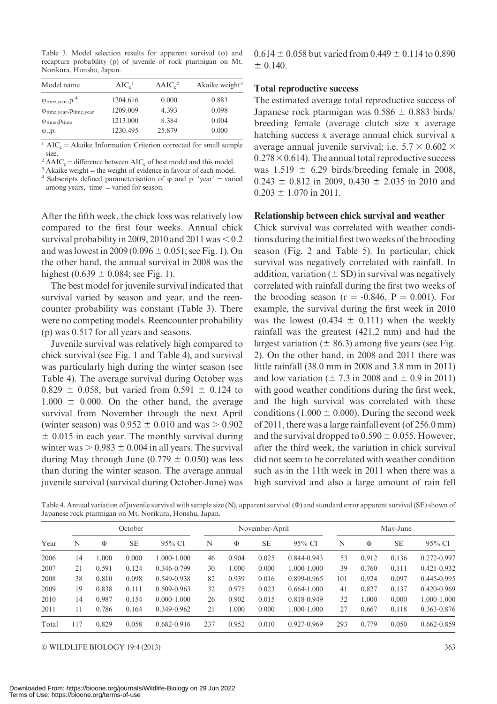Table 3. Model selection results for apparent survival  $(0)$  and recapture probability (p) of juvenile of rock ptarmigan on Mt. Norikura, Honshu, Japan.

| Model name                                       | AIC <sub>c</sub> <sup>1</sup> | $\Delta AIC_c^2$ | Akaike weight $3$ |
|--------------------------------------------------|-------------------------------|------------------|-------------------|
| $\varphi$ <sub>time,year</sub> , p. <sup>4</sup> | 1204.616                      | 0.000            | 0.883             |
| $\varphi$ time, year, $\varphi$ time, year       | 1209.009                      | 4.393            | 0.098             |
| $\varphi$ <sub>time</sub> , $p$ <sub>time</sub>  | 1213.000                      | 8.384            | 0.004             |
| $\varphi$ ., $p$ .                               | 1230.495                      | 25.879           | 0.000             |
|                                                  |                               |                  |                   |

 $1 \text{ AIC}_c = \text{Akaike Information Criterion corrected for small sample}$ size.<br> $2 \text{ AAC}_c =$  difference between AIC<sub>c</sub> of best model and this model.

<sup>3</sup> Akaike weight = the weight of evidence in favour of each model. 4 Subscripts defined parameterisation of  $\varphi$  and p: 'year' = varied among years, 'time' = varied for season.

After the fifth week, the chick loss was relatively low compared to the first four weeks. Annual chick survival probability in 2009, 2010 and 2011 was  $< 0.2$ and was lowest in 2009 (0.096  $\pm$  0.051; see Fig. 1). On the other hand, the annual survival in 2008 was the highest  $(0.639 \pm 0.084$ ; see Fig. 1).

The best model for juvenile survival indicated that survival varied by season and year, and the reencounter probability was constant (Table 3). There were no competing models. Reencounter probability (p) was 0.517 for all years and seasons.

Juvenile survival was relatively high compared to chick survival (see Fig. 1 and Table 4), and survival was particularly high during the winter season (see Table 4). The average survival during October was  $0.829 \pm 0.058$ , but varied from  $0.591 \pm 0.124$  to  $1.000 \pm 0.000$ . On the other hand, the average survival from November through the next April (winter season) was  $0.952 \pm 0.010$  and was  $> 0.902$  $\pm$  0.015 in each year. The monthly survival during winter was  $> 0.983 \pm 0.004$  in all years. The survival during May through June (0.779  $\pm$  0.050) was less than during the winter season. The average annual juvenile survival (survival during October-June) was

 $0.614 \pm 0.058$  but varied from  $0.449 \pm 0.114$  to  $0.890$  $\pm$  0.140.

#### Total reproductive success

The estimated average total reproductive success of Japanese rock ptarmigan was  $0.586 \pm 0.883$  birds/ breeding female (average clutch size x average hatching success x average annual chick survival x average annual juvenile survival; i.e.  $5.7 \times 0.602 \times$  $0.278 \times 0.614$ ). The annual total reproductive success was  $1.519 \pm 6.29$  birds/breeding female in 2008,  $0.243 \pm 0.812$  in 2009,  $0.430 \pm 2.035$  in 2010 and  $0.203 \pm 1.070$  in 2011.

#### Relationship between chick survival and weather

Chick survival was correlated with weather conditions during the initial first two weeks of the brooding season (Fig. 2 and Table 5). In particular, chick survival was negatively correlated with rainfall. In addition, variation  $(\pm SD)$  in survival was negatively correlated with rainfall during the first two weeks of the brooding season ( $r = -0.846$ ,  $P = 0.001$ ). For example, the survival during the first week in 2010 was the lowest  $(0.434 \pm 0.111)$  when the weekly rainfall was the greatest (421.2 mm) and had the largest variation ( $\pm$  86.3) among five years (see Fig. 2). On the other hand, in 2008 and 2011 there was little rainfall (38.0 mm in 2008 and 3.8 mm in 2011) and low variation ( $\pm$  7.3 in 2008 and  $\pm$  0.9 in 2011) with good weather conditions during the first week, and the high survival was correlated with these conditions (1.000  $\pm$  0.000). During the second week of 2011, there was a large rainfall event (of 256.0 mm) and the survival dropped to  $0.590 \pm 0.055$ . However, after the third week, the variation in chick survival did not seem to be correlated with weather condition such as in the 11th week in 2011 when there was a high survival and also a large amount of rain fell

Table 4. Annual variation of juvenile survival with sample size (N), apparent survival (Φ) and standard error apparent survival (SE) shown of Japanese rock ptarmigan on Mt. Norikura, Honshu, Japan.

| Year  | October |       |           | November-April  |     |       | May-June  |                 |     |       |           |                 |
|-------|---------|-------|-----------|-----------------|-----|-------|-----------|-----------------|-----|-------|-----------|-----------------|
|       | N       | Φ     | <b>SE</b> | 95% CI          | N   | Φ     | <b>SE</b> | 95% CI          | N   | Φ     | <b>SE</b> | 95% CI          |
| 2006  | 14      | .000  | 0.000     | 1.000-1.000     | 46  | 0.904 | 0.025     | 0.844-0.943     | 53  | 0.912 | 0.136     | 0.272-0.997     |
| 2007  | 21      | 0.591 | 0.124     | 0.346-0.799     | 30  | 1.000 | 0.000     | 1.000-1.000     | 39  | 0.760 | 0.111     | 0.421-0.932     |
| 2008  | 38      | 0.810 | 0.098     | 0.549-0.938     | 82  | 0.939 | 0.016     | 0.899-0.965     | 101 | 0.924 | 0.097     | 0.445-0.995     |
| 2009  | 19      | 0.838 | 0.111     | $0.509 - 0.963$ | 32  | 0.975 | 0.023     | $0.664 - 1.000$ | 41  | 0.827 | 0.137     | $0.420 - 0.969$ |
| 2010  | 14      | 0.987 | 0.154     | $0.000 - 1.000$ | 26  | 0.902 | 0.015     | 0.818-0.949     | 32  | 1.000 | 0.000     | 1.000-1.000     |
| 2011  | $\pm$   | 0.786 | 0.164     | 0.349-0.962     | 21  | .000  | 0.000     | 1.000-1.000     | 27  | 0.667 | 0.118     | 0.363-0.876     |
| Total | 117     | 0.829 | 0.058     | $0.682 - 0.916$ | 237 | 0.952 | 0.010     | 0.927-0.969     | 293 | 0.779 | 0.050     | $0.662 - 0.859$ |

© WILDLIFE BIOLOGY 19:4 (2013) 363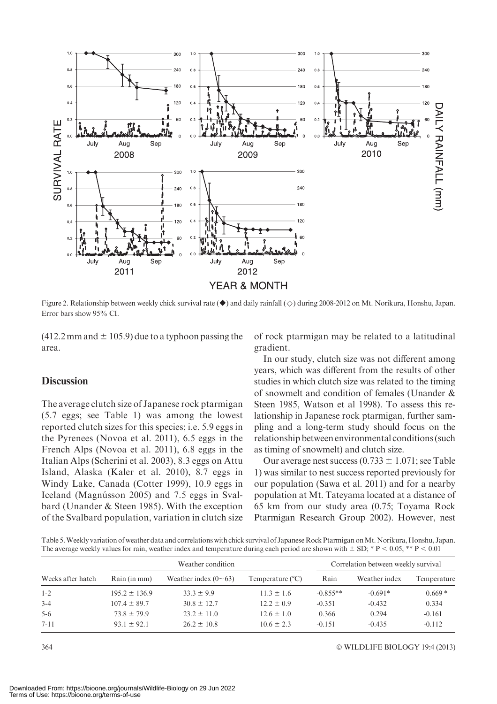

Figure 2. Relationship between weekly chick survival rate ( $\bullet$ ) and daily rainfall ( $\Diamond$ ) during 2008-2012 on Mt. Norikura, Honshu, Japan. Error bars show 95% CI.

 $(412.2 \text{ mm}$  and  $\pm 105.9$ ) due to a typhoon passing the area.

#### **Discussion**

The average clutch size of Japanese rock ptarmigan (5.7 eggs; see Table 1) was among the lowest reported clutch sizes for this species; i.e. 5.9 eggs in the Pyrenees (Novoa et al. 2011), 6.5 eggs in the French Alps (Novoa et al. 2011), 6.8 eggs in the Italian Alps (Scherini et al. 2003), 8.3 eggs on Attu Island, Alaska (Kaler et al. 2010), 8.7 eggs in Windy Lake, Canada (Cotter 1999), 10.9 eggs in Iceland (Magnússon 2005) and 7.5 eggs in Svalbard (Unander & Steen 1985). With the exception of the Svalbard population, variation in clutch size of rock ptarmigan may be related to a latitudinal gradient.

In our study, clutch size was not different among years, which was different from the results of other studies in which clutch size was related to the timing of snowmelt and condition of females (Unander & Steen 1985, Watson et al 1998). To assess this relationship in Japanese rock ptarmigan, further sampling and a long-term study should focus on the relationship between environmental conditions (such as timing of snowmelt) and clutch size.

Our average nest success  $(0.733 \pm 1.071)$ ; see Table 1) was similar to nest success reported previously for our population (Sawa et al. 2011) and for a nearby population at Mt. Tateyama located at a distance of 65 km from our study area (0.75; Toyama Rock Ptarmigan Research Group 2002). However, nest

Table 5.Weekly variation of weather data and correlations with chick survival of Japanese Rock Ptarmigan onMt. Norikura, Honshu, Japan. The average weekly values for rain, weather index and temperature during each period are shown with  $\pm$  SD; \* P < 0.05, \*\* P < 0.01

|                   |                   | Weather condition          | Correlation between weekly survival |            |               |             |  |
|-------------------|-------------------|----------------------------|-------------------------------------|------------|---------------|-------------|--|
| Weeks after hatch | Rain (in mm)      | Weather index $(0\sim 63)$ | Temperature $(^{\circ}C)$           | Rain       | Weather index | Temperature |  |
| $1 - 2$           | $195.2 \pm 136.9$ | $33.3 \pm 9.9$             | $11.3 \pm 1.6$                      | $-0.855**$ | $-0.691*$     | $0.669*$    |  |
| $3 - 4$           | $107.4 \pm 89.7$  | $30.8 \pm 12.7$            | $12.2 \pm 0.9$                      | $-0.351$   | $-0.432$      | 0.334       |  |
| $5-6$             | $73.8 \pm 79.9$   | $23.2 \pm 11.0$            | $12.6 \pm 1.0$                      | 0.366      | 0.294         | $-0.161$    |  |
| $7 - 11$          | $93.1 \pm 92.1$   | $26.2 \pm 10.8$            | $10.6 \pm 2.3$                      | $-0.151$   | $-0.435$      | $-0.112$    |  |

WILDLIFE BIOLOGY 19:4 (2013)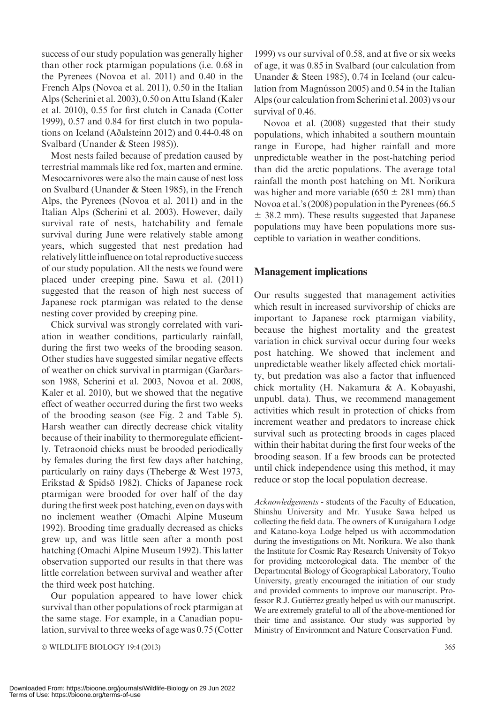success of our study population was generally higher than other rock ptarmigan populations (i.e. 0.68 in the Pyrenees (Novoa et al. 2011) and 0.40 in the French Alps (Novoa et al. 2011), 0.50 in the Italian Alps (Scherini et al. 2003), 0.50 on Attu Island (Kaler et al. 2010), 0.55 for first clutch in Canada (Cotter 1999), 0.57 and 0.84 for first clutch in two populations on Iceland (Aðalsteinn 2012) and 0.44-0.48 on Svalbard (Unander & Steen 1985)).

Most nests failed because of predation caused by terrestrial mammals like red fox, marten and ermine. Mesocarnivores were also the main cause of nest loss on Svalbard (Unander & Steen 1985), in the French Alps, the Pyrenees (Novoa et al. 2011) and in the Italian Alps (Scherini et al. 2003). However, daily survival rate of nests, hatchability and female survival during June were relatively stable among years, which suggested that nest predation had relativelylittle influence on total reproductive success of our study population. All the nests we found were placed under creeping pine. Sawa et al. (2011) suggested that the reason of high nest success of Japanese rock ptarmigan was related to the dense nesting cover provided by creeping pine.

Chick survival was strongly correlated with variation in weather conditions, particularly rainfall, during the first two weeks of the brooding season. Other studies have suggested similar negative effects of weather on chick survival in ptarmigan (Garðarsson 1988, Scherini et al. 2003, Novoa et al. 2008, Kaler et al. 2010), but we showed that the negative effect of weather occurred during the first two weeks of the brooding season (see Fig. 2 and Table 5). Harsh weather can directly decrease chick vitality because of their inability to thermoregulate efficiently. Tetraonoid chicks must be brooded periodically by females during the first few days after hatching, particularly on rainy days (Theberge & West 1973, Erikstad & Spidsö 1982). Chicks of Japanese rock ptarmigan were brooded for over half of the day during the first week post hatching, even on days with no inclement weather (Omachi Alpine Museum 1992). Brooding time gradually decreased as chicks grew up, and was little seen after a month post hatching (Omachi Alpine Museum 1992). This latter observation supported our results in that there was little correlation between survival and weather after the third week post hatching.

Our population appeared to have lower chick survival than other populations of rock ptarmigan at the same stage. For example, in a Canadian population, survival to three weeks of age was 0.75 (Cotter

© WILDLIFE BIOLOGY 19:4 (2013) 365

1999) vs our survival of 0.58, and at five or six weeks of age, it was 0.85 in Svalbard (our calculation from Unander & Steen 1985), 0.74 in Iceland (our calculation from Magnússon 2005) and 0.54 in the Italian Alps (our calculation from Scherini et al. 2003) vs our survival of 0.46.

Novoa et al. (2008) suggested that their study populations, which inhabited a southern mountain range in Europe, had higher rainfall and more unpredictable weather in the post-hatching period than did the arctic populations. The average total rainfall the month post hatching on Mt. Norikura was higher and more variable (650  $\pm$  281 mm) than Novoa et al.'s (2008) population in the Pyrenees (66.5  $\pm$  38.2 mm). These results suggested that Japanese populations may have been populations more susceptible to variation in weather conditions.

#### Management implications

Our results suggested that management activities which result in increased survivorship of chicks are important to Japanese rock ptarmigan viability, because the highest mortality and the greatest variation in chick survival occur during four weeks post hatching. We showed that inclement and unpredictable weather likely affected chick mortality, but predation was also a factor that influenced chick mortality (H. Nakamura & A. Kobayashi, unpubl. data). Thus, we recommend management activities which result in protection of chicks from increment weather and predators to increase chick survival such as protecting broods in cages placed within their habitat during the first four weeks of the brooding season. If a few broods can be protected until chick independence using this method, it may reduce or stop the local population decrease.

Acknowledgements - students of the Faculty of Education, Shinshu University and Mr. Yusuke Sawa helped us collecting the field data. The owners of Kuraigahara Lodge and Katano-koya Lodge helped us with accommodation during the investigations on Mt. Norikura. We also thank the Institute for Cosmic Ray Research University of Tokyo for providing meteorological data. The member of the Departmental Biology of Geographical Laboratory, Touho University, greatly encouraged the initiation of our study and provided comments to improve our manuscript. Professor R.J. Gutiérrez greatly helped us with our manuscript. We are extremely grateful to all of the above-mentioned for their time and assistance. Our study was supported by Ministry of Environment and Nature Conservation Fund.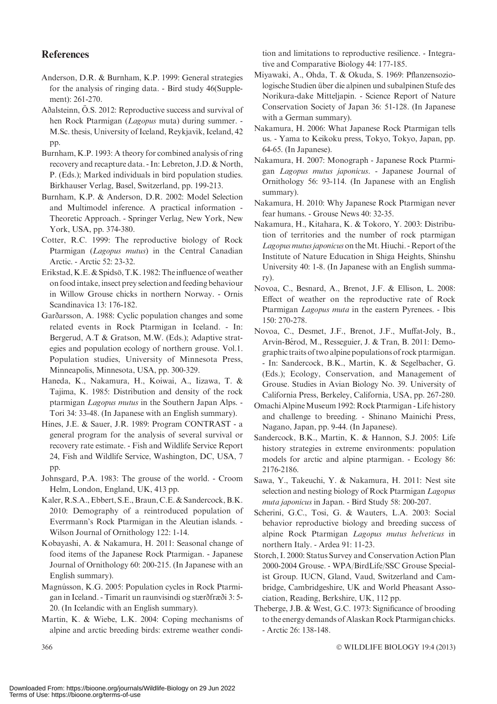### References

- Anderson, D.R. & Burnham, K.P. 1999: General strategies for the analysis of ringing data. - Bird study 46(Supplement): 261-270.
- Aðalsteinn, Ö.S. 2012: Reproductive success and survival of hen Rock Ptarmigan (Lagopus muta) during summer. -M.Sc. thesis, University of Iceland, Reykjavik, Iceland, 42 pp.
- Burnham, K.P. 1993: A theory for combined analysis of ring recovery and recapture data. - In: Lebreton, J.D. & North, P. (Eds.); Marked individuals in bird population studies. Birkhauser Verlag, Basel, Switzerland, pp. 199-213.
- Burnham, K.P. & Anderson, D.R. 2002: Model Selection and Multimodel inference. A practical information - Theoretic Approach. - Springer Verlag, New York, New York, USA, pp. 374-380.
- Cotter, R.C. 1999: The reproductive biology of Rock Ptarmigan (Lagopus mutus) in the Central Canadian Arctic. - Arctic 52: 23-32.
- Erikstad, K.E. & Spidsö, T.K. 1982: The influence of weather on food intake, insect prey selection and feeding behaviour in Willow Grouse chicks in northern Norway. - Ornis Scandinavica 13: 176-182.
- Garðarsson, A. 1988: Cyclic population changes and some related events in Rock Ptarmigan in Iceland. - In: Bergerud, A.T & Gratson, M.W. (Eds.); Adaptive strategies and population ecology of northern grouse. Vol.1. Population studies, University of Minnesota Press, Minneapolis, Minnesota, USA, pp. 300-329.
- Haneda, K., Nakamura, H., Koiwai, A., Iizawa, T. & Tajima, K. 1985: Distribution and density of the rock ptarmigan Lagopus mutus in the Southern Japan Alps. - Tori 34: 33-48. (In Japanese with an English summary).
- Hines, J.E. & Sauer, J.R. 1989: Program CONTRAST a general program for the analysis of several survival or recovery rate estimate. - Fish and Wildlife Service Report 24, Fish and Wildlife Service, Washington, DC, USA, 7 pp.
- Johnsgard, P.A. 1983: The grouse of the world. Croom Helm, London, England, UK, 413 pp.
- Kaler, R.S.A., Ebbert, S.E., Braun, C.E. & Sandercock, B.K. 2010: Demography of a reintroduced population of Everrmann's Rock Ptarmigan in the Aleutian islands. - Wilson Journal of Ornithology 122: 1-14.
- Kobayashi, A. & Nakamura, H. 2011: Seasonal change of food items of the Japanese Rock Ptarmigan. - Japanese Journal of Ornithology 60: 200-215. (In Japanese with an English summary).
- Magnússon, K.G. 2005: Population cycles in Rock Ptarmigan in Iceland. - Timarit un raunvisindi og stærðfræði 3: 5- 20. (In Icelandic with an English summary).
- Martin, K. & Wiebe, L.K. 2004: Coping mechanisms of alpine and arctic breeding birds: extreme weather condi-

tion and limitations to reproductive resilience. - Integrative and Comparative Biology 44: 177-185.

- Miyawaki, A., Ohda, T. & Okuda, S. 1969: Pflanzensoziologische Studien über die alpinen und subalpinen Stufe des Norikura-dake Mitteljapin. - Science Report of Nature Conservation Society of Japan 36: 51-128. (In Japanese with a German summary).
- Nakamura, H. 2006: What Japanese Rock Ptarmigan tells us. - Yama to Keikoku press, Tokyo, Tokyo, Japan, pp. 64-65. (In Japanese).
- Nakamura, H. 2007: Monograph Japanese Rock Ptarmigan Lagopus mutus japonicus. - Japanese Journal of Ornithology 56: 93-114. (In Japanese with an English summary).
- Nakamura, H. 2010: Why Japanese Rock Ptarmigan never fear humans. - Grouse News 40: 32-35.
- Nakamura, H., Kitahara, K. & Tokoro, Y. 2003: Distribution of territories and the number of rock ptarmigan Lagopus mutus japonicus on theMt. Hiuchi. - Report of the Institute of Nature Education in Shiga Heights, Shinshu University 40: 1-8. (In Japanese with an English summary).
- Novoa, C., Besnard, A., Brenot, J.F. & Ellison, L. 2008: Effect of weather on the reproductive rate of Rock Ptarmigan Lagopus muta in the eastern Pyrenees. - Ibis 150: 270-278.
- Novoa, C., Desmet, J.F., Brenot, J.F., Muffat-Joly, B., Arvin-Bérod, M., Resseguier, J. & Tran, B. 2011: Demographic traits of two alpine populations of rock ptarmigan. - In: Sandercock, B.K., Martin, K. & Segelbacher, G. (Eds.); Ecology, Conservation, and Management of Grouse. Studies in Avian Biology No. 39. University of California Press, Berkeley, California, USA, pp. 267-280.
- Omachi AlpineMuseum 1992: Rock Ptarmigan Life history and challenge to breeding. - Shinano Mainichi Press, Nagano, Japan, pp. 9-44. (In Japanese).
- Sandercock, B.K., Martin, K. & Hannon, S.J. 2005: Life history strategies in extreme environments: population models for arctic and alpine ptarmigan. - Ecology 86: 2176-2186.
- Sawa, Y., Takeuchi, Y. & Nakamura, H. 2011: Nest site selection and nesting biology of Rock Ptarmigan Lagopus muta japonicus in Japan. - Bird Study 58: 200-207.
- Scherini, G.C., Tosi, G. & Wauters, L.A. 2003: Social behavior reproductive biology and breeding success of alpine Rock Ptarmigan Lagopus mutus helveticus in northern Italy. - Ardea 91: 11-23.
- Storch, I. 2000: Status Survey and Conservation Action Plan 2000-2004 Grouse. - WPA/BirdLife/SSC Grouse Specialist Group. IUCN, Gland, Vaud, Switzerland and Cambridge, Cambridgeshire, UK and World Pheasant Association, Reading, Berkshire, UK, 112 pp.
- Theberge, J.B. & West, G.C. 1973: Significance of brooding to the energy demands of Alaskan Rock Ptarmigan chicks. - Arctic 26: 138-148.

WILDLIFE BIOLOGY 19:4 (2013)

 $366$